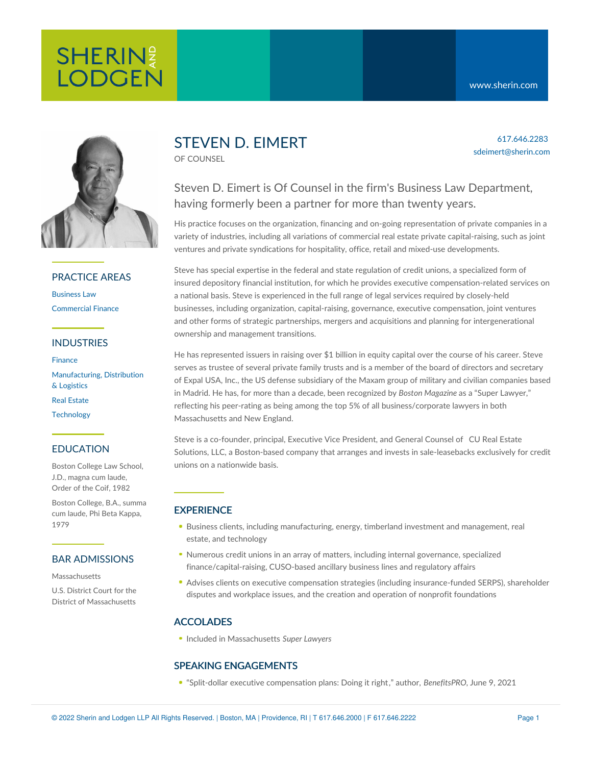617.646.2283 sdeimert@sherin.com



# PRACTICE AREAS

[Business](https://www.sherin.com/practice-areas/business-law/) Law [Commercial](https://www.sherin.com/practice-areas/commercial-finance/) Finance

## INDUSTRIES

[Finance](https://www.sherin.com/industries/finance/) [Manufacturing,](https://www.sherin.com/industries/manufacturing-distribution-and-logistics/) Distribution & Logistics Real [Estate](https://www.sherin.com/industries/real-estate/) **[Technology](https://www.sherin.com/industries/technology/)** 

# EDUCATION

Boston College Law School, J.D., magna cum laude, Order of the Coif, 1982

Boston College, B.A., summa cum laude, Phi Beta Kappa, 1979

#### BAR ADMISSIONS

Massachusetts

U.S. District Court for the District of Massachusetts

# STEVEN D. EIMERT

OF COUNSEL

# Steven D. Eimert is Of Counsel in the firm's Business Law Department, having formerly been a partner for more than twenty years.

His practice focuses on the organization, financing and on-going representation of private companies in a variety of industries, including all variations of commercial real estate private capital-raising, such as joint ventures and private syndications for hospitality, office, retail and mixed-use developments.

Steve has special expertise in the federal and state regulation of credit unions, a specialized form of insured depository financial institution, for which he provides executive compensation-related services on a national basis. Steve is experienced in the full range of legal services required by closely-held businesses, including organization, capital-raising, governance, executive compensation, joint ventures and other forms of strategic partnerships, mergers and acquisitions and planning for intergenerational ownership and management transitions.

He has represented issuers in raising over \$1 billion in equity capital over the course of his career. Steve serves as trustee of several private family trusts and is a member of the board of directors and secretary of Expal USA, Inc., the US defense subsidiary of the Maxam group of military and civilian companies based in Madrid. He has, for more than a decade, been recognized by *Boston Magazine* as a "Super Lawyer," reflecting his peer-rating as being among the top 5% of all business/corporate lawyers in both Massachusetts and New England.

Steve is a co-founder, principal, Executive Vice President, and General Counsel of CU Real Estate Solutions, LLC, a Boston-based company that arranges and invests in [sale-leasebacks](https://www.curealestatesolutions.com/) exclusively for credit unions on a nationwide basis.

# **EXPERIENCE**

- **Business clients, including manufacturing, energy, timberland investment and management, real** estate, and technology
- Numerous credit unions in an array of matters, including internal governance, specialized finance/capital-raising, CUSO-based ancillary business lines and regulatory affairs
- Advises clients on executive compensation strategies (including insurance-funded SERPS), shareholder disputes and workplace issues, and the creation and operation of nonprofit foundations

# ACCOLADES

Included in Massachusetts *Super Lawyers*

# SPEAKING ENGAGEMENTS

"Split-dollar executive [compensation](https://www.benefitspro.com/2021/06/09/split-dollar-executive-compensation-plans-doing-it-right/?slreturn=20210524104418) plans: Doing it right," author, *BenefitsPRO,* June 9, 2021